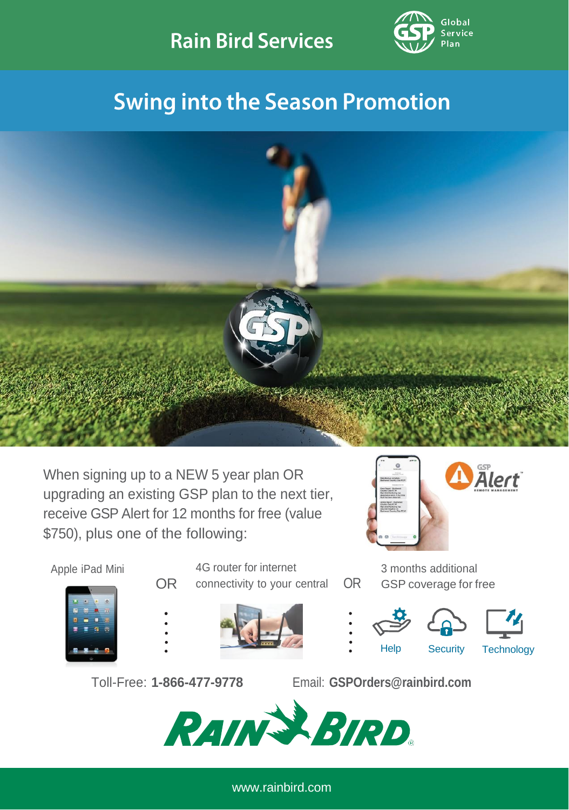

## **Swing into the Season Promotion**



When signing up to a NEW 5 year plan OR upgrading an existing GSP plan to the next tier, receive GSP Alert for 12 months for free (value \$750), plus one of the following:



3 months additional GSP coverage for free



Apple iPad Mini 4G router for internet OR connectivity to your central OR







Help Security Technology

Toll-Free: **1-866-477-9778** Email: **[GSPOrders@rainbird.com](mailto:gspgroupemails@rainbird.com)**



[www.rainbird.com](http://www.rainbird.com/)